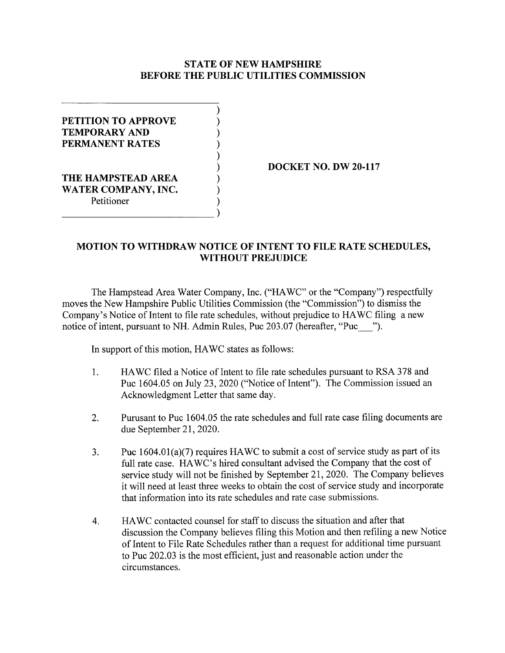## **STATE OF NEW HAMPSHIRE BEFORE THE PUBLIC UTILITIES COMMISSION**

) ) ) ) ) ) ) ) )

**PETITION TO APPROVE TEMPORARY AND PERMANENT RATES THE HAMPSTEAD AREA WATER COMPANY, INC.** 

~~~~~~~~~~~~-)

Petitioner

**DOCKET NO. DW 20-117** 

## **MOTION TO WITHDRAW NOTICE OF INTENT TO FILE RATE SCHEDULES, WITHOUT PREJUDICE**

The Hampstead Area Water Company, Inc. ("HA WC" or the "Company") respectfully moves the New Hampshire Public Utilities Commission (the "Commission") to dismiss the Company's Notice of Intent to file rate schedules, without prejudice to HAWC filing a new notice of intent, pursuant to NH. Admin Rules, Puc 203.07 (hereafter, "Puc <sup>"</sup>).

In support of this motion, HAWC states as follows:

- 1. HAWC filed a Notice of Intent to file rate schedules pursuant to RSA 378 and Puc 1604.05 on July 23, 2020 ("Notice of Intent"). The Commission issued an Acknowledgment Letter that same day.
- 2. Purusant to Puc 1604.05 the rate schedules and full rate case filing documents are due September 21, 2020.
- 3. Puc 1604.0l(a)(7) requires HAWC to submit a cost of service study as part of its full rate case. HA WC's hired consultant advised the Company that the cost of service study will not be finished by September 21, 2020. The Company believes it will need at least three weeks to obtain the cost of service study and incorporate that information into its rate schedules and rate case submissions.
- 4. HA WC contacted counsel for staff to discuss the situation and after that discussion the Company believes filing this Motion and then refiling a new Notice of Intent to File Rate Schedules rather than a request for additional time pursuant to Puc 202.03 is the most efficient, just and reasonable action under the circumstances.